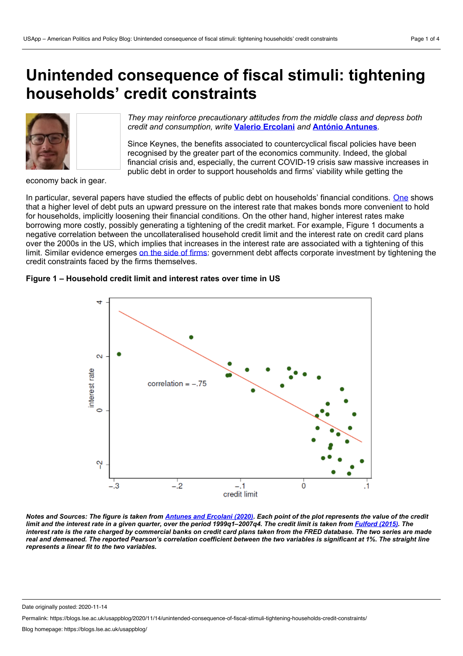# **Unintended consequence of fiscal stimuli: tightening households' credit constraints**



*They may reinforce precautionary attitudes from the middle class and depress both credit and consumption, write* **Valerio [Ercolani](https://wp.me/p3I2YF-avE#Author)** *and* **António [Antunes](https://wp.me/p3I2YF-avE#Author)***.*

Since Keynes, the benefits associated to countercyclical fiscal policies have been recognised by the greater part of the economics community. Indeed, the global financial crisis and, especially, the current COVID-19 crisis saw massive increases in public debt in order to support households and firms' viability while getting the

economy back in gear.

In particular, several papers have studied the effects of public debt on households' financial conditions. [One](https://www.sciencedirect.com/science/article/pii/S0304393298000312) shows that a higher level of debt puts an upward pressure on the interest rate that makes bonds more convenient to hold for households, implicitly loosening their financial conditions. On the other hand, higher interest rates make borrowing more costly, possibly generating a tightening of the credit market. For example, Figure 1 documents a negative correlation between the uncollateralised household credit limit and the interest rate on credit card plans over the 2000s in the US, which implies that increases in the interest rate are associated with a tightening of this limit. Similar evidence emerges on the side of [firms](https://urldefense.com/v3/__https:/voxeu.org/article/public-debt-and-private-investment__;!dRMrt5z2oyDKFQ!6NR0odnZHGMFRrQ_KPoJ2P3OCWoyn_-W6ThejEfL-fOaN_YZqIka8YiIorVeRXETtelapSWksfg$): government debt affects corporate investment by tightening the credit constraints faced by the firms themselves.

## **Figure 1 – Household credit limit and interest rates over time in US**



Notes and Sources: The figure is taken from [Antunes](https://www.sciencedirect.com/science/article/pii/S1094202519305617?via%253Dihub) and Ercolani (2020). Each point of the plot represents the value of the credit limit and the interest rate in a given quarter, over the period 1999q1-2007q4. The credit limit is taken from [Fulford](https://www.sciencedirect.com/science/article/pii/S0304393215000057) (2015). The interest rate is the rate charged by commercial banks on credit card plans taken from the FRED database. The two series are made real and demeaned. The reported Pearson's correlation coefficient between the two variables is significant at 1%. The straight line *represents a linear fit to the two variables.*

Date originally posted: 2020-11-14

Permalink: https://blogs.lse.ac.uk/usappblog/2020/11/14/unintended-consequence-of-fiscal-stimuli-tightening-households-credit-constraints/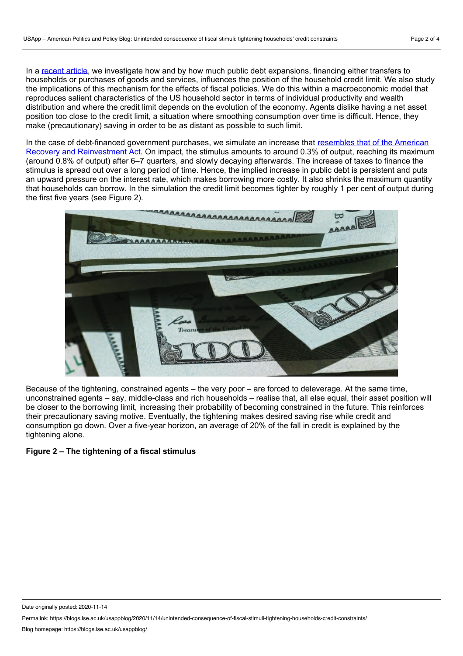In a [recent](https://www.sciencedirect.com/science/article/pii/S1094202519305617) article, we investigate how and by how much public debt expansions, financing either transfers to households or purchases of goods and services, influences the position of the household credit limit. We also study the implications of this mechanism for the effects of fiscal policies. We do this within a macroeconomic model that reproduces salient characteristics of the US household sector in terms of individual productivity and wealth distribution and where the credit limit depends on the evolution of the economy. Agents dislike having a net asset position too close to the credit limit, a situation where smoothing consumption over time is difficult. Hence, they make (precautionary) saving in order to be as distant as possible to such limit.

In the case of debt-financed government purchases, we simulate an increase that resembles that of the American Recovery and [Reinvestment](https://www.aeaweb.org/articles?id=10.1257/aer.100.2.30) Act. On impact, the stimulus amounts to around 0.3% of output, reaching its maximum (around 0.8% of output) after 6–7 quarters, and slowly decaying afterwards. The increase of taxes to finance the stimulus is spread out over a long period of time. Hence, the implied increase in public debt is persistent and puts an upward pressure on the interest rate, which makes borrowing more costly. It also shrinks the maximum quantity that households can borrow. In the simulation the credit limit becomes tighter by roughly 1 per cent of output during the first five years (see Figure 2).



Because of the tightening, constrained agents – the very poor – are forced to deleverage. At the same time, unconstrained agents – say, middle-class and rich households – realise that, all else equal, their asset position will be closer to the borrowing limit, increasing their probability of becoming constrained in the future. This reinforces their precautionary saving motive. Eventually, the tightening makes desired saving rise while credit and consumption go down. Over a five-year horizon, an average of 20% of the fall in credit is explained by the tightening alone.

## **Figure 2 – The tightening of a fiscal stimulus**

Date originally posted: 2020-11-14

Permalink: https://blogs.lse.ac.uk/usappblog/2020/11/14/unintended-consequence-of-fiscal-stimuli-tightening-households-credit-constraints/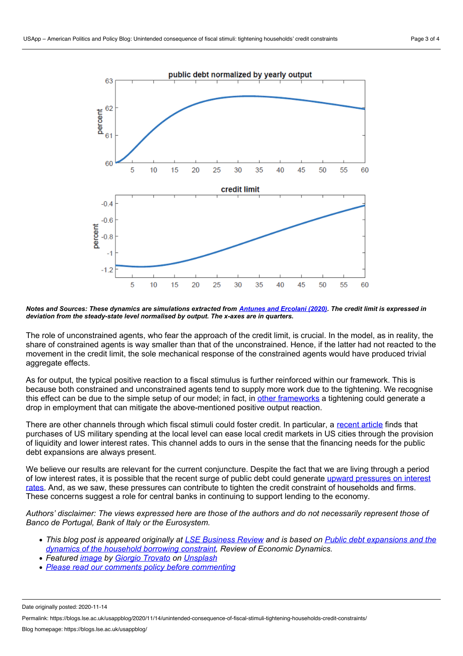63

62

61

60

 $-0.4$ 

 $-0.6$ 

 $-1.2$ 

percent -0.8 5

percent



5  $10$ 15 25 50 55 60 20 30 35 40 45 Notes and Sources: These dynamics are simulations extracted from [Antunes](https://www.sciencedirect.com/science/article/pii/S1094202519305617?via%253Dihub) and Ercolani (2020). The credit limit is expressed in

*deviation from the steady-state level normalised by output. The x-axes are in quarters.*

The role of unconstrained agents, who fear the approach of the credit limit, is crucial. In the model, as in reality, the share of constrained agents is way smaller than that of the unconstrained. Hence, if the latter had not reacted to the movement in the credit limit, the sole mechanical response of the constrained agents would have produced trivial aggregate effects.

As for output, the typical positive reaction to a fiscal stimulus is further reinforced within our framework. This is because both constrained and unconstrained agents tend to supply more work due to the tightening. We recognise this effect can be due to the simple setup of our model; in fact, in other [frameworks](https://www.aeaweb.org/articles?id=10.1257/aer.p20161088) a tightening could generate a drop in employment that can mitigate the above-mentioned positive output reaction.

There are other channels through which fiscal stimuli could foster credit. In particular, a [recent](https://www.aeaweb.org/articles?id=10.1257/pandp.20201074) article finds that purchases of US military spending at the local level can ease local credit markets in US cities through the provision of liquidity and lower interest rates. This channel adds to ours in the sense that the financing needs for the public debt expansions are always present.

We believe our results are relevant for the current conjuncture. Despite the fact that we are living through a period of low interest rates, it is possible that the recent surge of public debt could generate upward pressures on interest rates. And, as we saw, these pressures can contribute to tighten the credit constraint of [households](https://voxeu.org/article/impact-covid-19-crisis-equilibrium-interest-rate) and firms. These concerns suggest a role for central banks in continuing to support lending to the economy.

Authors' disclaimer: The views expressed here are those of the authors and do not necessarily represent those of *Banco de Portugal, Bank of Italy or the Eurosystem.*

- This blog post is appeared originally at LSE [Business](https://blogs.lse.ac.uk/businessreview/2020/11/11/unintended-consequences-of-fiscal-stimuli-tightening-households-credit-constraints/) Review and is based on Public debt [expansions](https://www.sciencedirect.com/science/article/abs/pii/S1094202519305617?via%253Dihub) and the *dynamics of the household borrowing constraint, Review of Economic Dynamics.*
- *Featured [image](https://unsplash.com/photos/WyxqQpyFNk8) by Giorgio [Trovato](https://unsplash.com/@giorgiotrovato?utm_source=unsplash&utm_medium=referral&utm_content=creditCopyText) on [Unsplash](https://unsplash.com/?utm_source=unsplash&utm_medium=referral&utm_content=creditCopyText)*
- *Please read our comments policy before [commenting](https://blogs.lse.ac.uk/usappblog/comments-policy/)*

Date originally posted: 2020-11-14

Permalink: https://blogs.lse.ac.uk/usappblog/2020/11/14/unintended-consequence-of-fiscal-stimuli-tightening-households-credit-constraints/